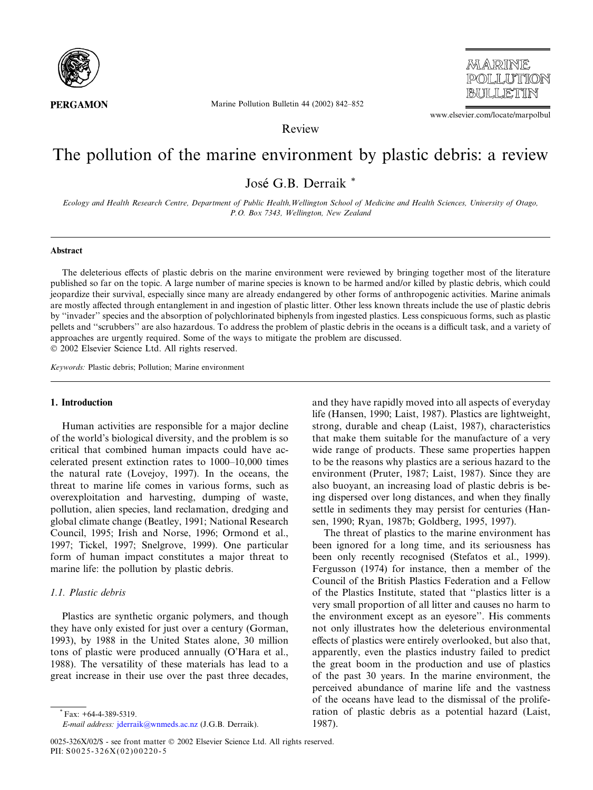

**PERGAMON** 

Marine Pollution Bulletin 44 (2002) 842–852

*MARINE* POLLUTION BIILLETTIN

www.elsevier.com/locate/marpolbul

Review

# The pollution of the marine environment by plastic debris: a review

José G.B. Derraik \*

Ecology and Health Research Centre, Department of Public Health,Wellington School of Medicine and Health Sciences, University of Otago, P.O. Box 7343, Wellington, New Zealand

# Abstract

The deleterious effects of plastic debris on the marine environment were reviewed by bringing together most of the literature published so far on the topic. A large number of marine species is known to be harmed and/or killed by plastic debris, which could jeopardize their survival, especially since many are already endangered by other forms of anthropogenic activities. Marine animals are mostly affected through entanglement in and ingestion of plastic litter. Other less known threats include the use of plastic debris by ''invader'' species and the absorption of polychlorinated biphenyls from ingested plastics. Less conspicuous forms, such as plastic pellets and ''scrubbers'' are also hazardous. To address the problem of plastic debris in the oceans is a difficult task, and a variety of approaches are urgently required. Some of the ways to mitigate the problem are discussed.  $\odot$  2002 Elsevier Science Ltd. All rights reserved.

Keywords: Plastic debris; Pollution; Marine environment

# 1. Introduction

Human activities are responsible for a major decline of the world's biological diversity, and the problem is so critical that combined human impacts could have accelerated present extinction rates to 1000–10,000 times the natural rate (Lovejoy, 1997). In the oceans, the threat to marine life comes in various forms, such as overexploitation and harvesting, dumping of waste, pollution, alien species, land reclamation, dredging and global climate change (Beatley, 1991; National Research Council, 1995; Irish and Norse, 1996; Ormond et al., 1997; Tickel, 1997; Snelgrove, 1999). One particular form of human impact constitutes a major threat to marine life: the pollution by plastic debris.

# 1.1. Plastic debris

Plastics are synthetic organic polymers, and though they have only existed for just over a century (Gorman, 1993), by 1988 in the United States alone, 30 million tons of plastic were produced annually (O'Hara et al., 1988). The versatility of these materials has lead to a great increase in their use over the past three decades, and they have rapidly moved into all aspects of everyday life (Hansen, 1990; Laist, 1987). Plastics are lightweight, strong, durable and cheap (Laist, 1987), characteristics that make them suitable for the manufacture of a very wide range of products. These same properties happen to be the reasons why plastics are a serious hazard to the environment (Pruter, 1987; Laist, 1987). Since they are also buoyant, an increasing load of plastic debris is being dispersed over long distances, and when they finally settle in sediments they may persist for centuries (Hansen, 1990; Ryan, 1987b; Goldberg, 1995, 1997).

The threat of plastics to the marine environment has been ignored for a long time, and its seriousness has been only recently recognised (Stefatos et al., 1999). Fergusson (1974) for instance, then a member of the Council of the British Plastics Federation and a Fellow of the Plastics Institute, stated that ''plastics litter is a very small proportion of all litter and causes no harm to the environment except as an eyesore''. His comments not only illustrates how the deleterious environmental effects of plastics were entirely overlooked, but also that, apparently, even the plastics industry failed to predict the great boom in the production and use of plastics of the past 30 years. In the marine environment, the perceived abundance of marine life and the vastness of the oceans have lead to the dismissal of the proliferation of plastic debris as a potential hazard (Laist, 1987).

 $Fx: +64-4-389-5319.$ 

E-mail address: jderraik@wnmeds.ac.nz (J.G.B. Derraik).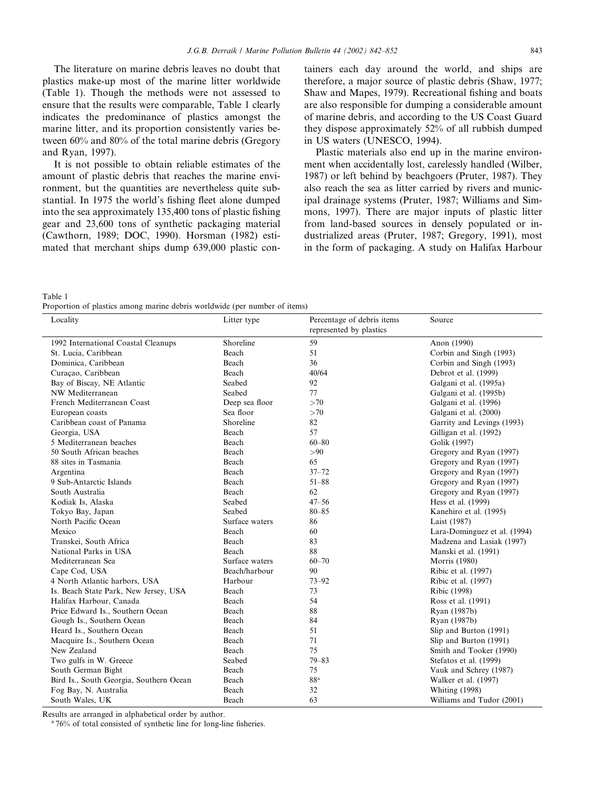The literature on marine debris leaves no doubt that plastics make-up most of the marine litter worldwide (Table 1). Though the methods were not assessed to ensure that the results were comparable, Table 1 clearly indicates the predominance of plastics amongst the marine litter, and its proportion consistently varies between 60% and 80% of the total marine debris (Gregory and Ryan, 1997).

It is not possible to obtain reliable estimates of the amount of plastic debris that reaches the marine environment, but the quantities are nevertheless quite substantial. In 1975 the world's fishing fleet alone dumped into the sea approximately 135,400 tons of plastic fishing gear and 23,600 tons of synthetic packaging material (Cawthorn, 1989; DOC, 1990). Horsman (1982) estimated that merchant ships dump 639,000 plastic containers each day around the world, and ships are therefore, a major source of plastic debris (Shaw, 1977; Shaw and Mapes, 1979). Recreational fishing and boats are also responsible for dumping a considerable amount of marine debris, and according to the US Coast Guard they dispose approximately 52% of all rubbish dumped in US waters (UNESCO, 1994).

Plastic materials also end up in the marine environment when accidentally lost, carelessly handled (Wilber, 1987) or left behind by beachgoers (Pruter, 1987). They also reach the sea as litter carried by rivers and municipal drainage systems (Pruter, 1987; Williams and Simmons, 1997). There are major inputs of plastic litter from land-based sources in densely populated or industrialized areas (Pruter, 1987; Gregory, 1991), most in the form of packaging. A study on Halifax Harbour

Table 1

Proportion of plastics among marine debris worldwide (per number of items)

| Locality                                | Litter type    | Percentage of debris items | Source                       |
|-----------------------------------------|----------------|----------------------------|------------------------------|
|                                         |                | represented by plastics    |                              |
| 1992 International Coastal Cleanups     | Shoreline      | 59                         | Anon (1990)                  |
| St. Lucia, Caribbean                    | Beach          | 51                         | Corbin and Singh (1993)      |
| Dominica, Caribbean                     | Beach          | 36                         | Corbin and Singh (1993)      |
| Curaçao, Caribbean                      | Beach          | 40/64                      | Debrot et al. (1999)         |
| Bay of Biscay, NE Atlantic              | Seabed         | 92                         | Galgani et al. (1995a)       |
| NW Mediterranean                        | Seabed         | 77                         | Galgani et al. (1995b)       |
| French Mediterranean Coast              | Deep sea floor | >70                        | Galgani et al. (1996)        |
| European coasts                         | Sea floor      | >70                        | Galgani et al. (2000)        |
| Caribbean coast of Panama               | Shoreline      | 82                         | Garrity and Levings (1993)   |
| Georgia, USA                            | Beach          | 57                         | Gilligan et al. (1992)       |
| 5 Mediterranean beaches                 | Beach          | $60 - 80$                  | Golik (1997)                 |
| 50 South African beaches                | Beach          | >90                        | Gregory and Ryan (1997)      |
| 88 sites in Tasmania                    | Beach          | 65                         | Gregory and Ryan (1997)      |
| Argentina                               | Beach          | $37 - 72$                  | Gregory and Ryan (1997)      |
| 9 Sub-Antarctic Islands                 | Beach          | $51 - 88$                  | Gregory and Ryan (1997)      |
| South Australia                         | Beach          | 62                         | Gregory and Ryan (1997)      |
| Kodiak Is, Alaska                       | Seabed         | $47 - 56$                  | Hess et al. (1999)           |
| Tokyo Bay, Japan                        | Seabed         | $80 - 85$                  | Kanehiro et al. (1995)       |
| North Pacific Ocean                     | Surface waters | 86                         | Laist (1987)                 |
| Mexico                                  | Beach          | 60                         | Lara-Dominguez et al. (1994) |
| Transkei, South Africa                  | Beach          | 83                         | Madzena and Lasiak (1997)    |
| National Parks in USA                   | Beach          | 88                         | Manski et al. (1991)         |
| Mediterranean Sea                       | Surface waters | $60 - 70$                  | Morris (1980)                |
| Cape Cod, USA                           | Beach/harbour  | 90                         | Ribic et al. (1997)          |
| 4 North Atlantic harbors, USA           | Harbour        | $73 - 92$                  | Ribic et al. (1997)          |
| Is. Beach State Park, New Jersey, USA   | Beach          | 73                         | Ribic (1998)                 |
| Halifax Harbour, Canada                 | Beach          | 54                         | Ross et al. (1991)           |
| Price Edward Is., Southern Ocean        | Beach          | 88                         | Ryan (1987b)                 |
| Gough Is., Southern Ocean               | Beach          | 84                         | Ryan (1987b)                 |
| Heard Is., Southern Ocean               | Beach          | 51                         | Slip and Burton (1991)       |
| Macquire Is., Southern Ocean            | Beach          | 71                         | Slip and Burton (1991)       |
| New Zealand                             | Beach          | 75                         | Smith and Tooker (1990)      |
| Two gulfs in W. Greece                  | Seabed         | $79 - 83$                  | Stefatos et al. (1999)       |
| South German Bight                      | Beach          | 75                         | Vauk and Schrey (1987)       |
| Bird Is., South Georgia, Southern Ocean | Beach          | 88 <sup>a</sup>            | Walker et al. (1997)         |
| Fog Bay, N. Australia                   | Beach          | 32                         | <b>Whiting</b> (1998)        |
| South Wales, UK                         | Beach          | 63                         | Williams and Tudor (2001)    |

Results are arranged in alphabetical order by author.<br><sup>a</sup> 76% of total consisted of synthetic line for long-line fisheries.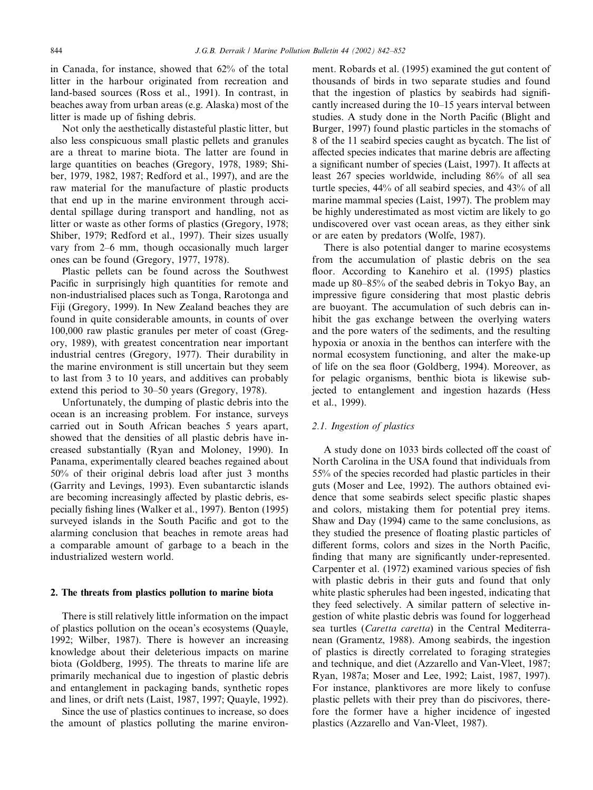in Canada, for instance, showed that 62% of the total litter in the harbour originated from recreation and land-based sources (Ross et al., 1991). In contrast, in beaches away from urban areas (e.g. Alaska) most of the litter is made up of fishing debris.

Not only the aesthetically distasteful plastic litter, but also less conspicuous small plastic pellets and granules are a threat to marine biota. The latter are found in large quantities on beaches (Gregory, 1978, 1989; Shiber, 1979, 1982, 1987; Redford et al., 1997), and are the raw material for the manufacture of plastic products that end up in the marine environment through accidental spillage during transport and handling, not as litter or waste as other forms of plastics (Gregory, 1978; Shiber, 1979; Redford et al., 1997). Their sizes usually vary from 2–6 mm, though occasionally much larger ones can be found (Gregory, 1977, 1978).

Plastic pellets can be found across the Southwest Pacific in surprisingly high quantities for remote and non-industrialised places such as Tonga, Rarotonga and Fiji (Gregory, 1999). In New Zealand beaches they are found in quite considerable amounts, in counts of over 100,000 raw plastic granules per meter of coast (Gregory, 1989), with greatest concentration near important industrial centres (Gregory, 1977). Their durability in the marine environment is still uncertain but they seem to last from 3 to 10 years, and additives can probably extend this period to 30–50 years (Gregory, 1978).

Unfortunately, the dumping of plastic debris into the ocean is an increasing problem. For instance, surveys carried out in South African beaches 5 years apart, showed that the densities of all plastic debris have increased substantially (Ryan and Moloney, 1990). In Panama, experimentally cleared beaches regained about 50% of their original debris load after just 3 months (Garrity and Levings, 1993). Even subantarctic islands are becoming increasingly affected by plastic debris, especially fishing lines (Walker et al., 1997). Benton (1995) surveyed islands in the South Pacific and got to the alarming conclusion that beaches in remote areas had a comparable amount of garbage to a beach in the industrialized western world.

## 2. The threats from plastics pollution to marine biota

There is still relatively little information on the impact of plastics pollution on the ocean's ecosystems (Quayle, 1992; Wilber, 1987). There is however an increasing knowledge about their deleterious impacts on marine biota (Goldberg, 1995). The threats to marine life are primarily mechanical due to ingestion of plastic debris and entanglement in packaging bands, synthetic ropes and lines, or drift nets (Laist, 1987, 1997; Quayle, 1992).

Since the use of plastics continues to increase, so does the amount of plastics polluting the marine environment. Robards et al. (1995) examined the gut content of thousands of birds in two separate studies and found that the ingestion of plastics by seabirds had significantly increased during the 10–15 years interval between studies. A study done in the North Pacific (Blight and Burger, 1997) found plastic particles in the stomachs of 8 of the 11 seabird species caught as bycatch. The list of affected species indicates that marine debris are affecting a significant number of species (Laist, 1997). It affects at least 267 species worldwide, including 86% of all sea turtle species, 44% of all seabird species, and 43% of all marine mammal species (Laist, 1997). The problem may be highly underestimated as most victim are likely to go undiscovered over vast ocean areas, as they either sink or are eaten by predators (Wolfe, 1987).

There is also potential danger to marine ecosystems from the accumulation of plastic debris on the sea floor. According to Kanehiro et al. (1995) plastics made up 80–85% of the seabed debris in Tokyo Bay, an impressive figure considering that most plastic debris are buoyant. The accumulation of such debris can inhibit the gas exchange between the overlying waters and the pore waters of the sediments, and the resulting hypoxia or anoxia in the benthos can interfere with the normal ecosystem functioning, and alter the make-up of life on the sea floor (Goldberg, 1994). Moreover, as for pelagic organisms, benthic biota is likewise subjected to entanglement and ingestion hazards (Hess et al., 1999).

# 2.1. Ingestion of plastics

A study done on 1033 birds collected off the coast of North Carolina in the USA found that individuals from 55% of the species recorded had plastic particles in their guts (Moser and Lee, 1992). The authors obtained evidence that some seabirds select specific plastic shapes and colors, mistaking them for potential prey items. Shaw and Day (1994) came to the same conclusions, as they studied the presence of floating plastic particles of different forms, colors and sizes in the North Pacific, finding that many are significantly under-represented. Carpenter et al. (1972) examined various species of fish with plastic debris in their guts and found that only white plastic spherules had been ingested, indicating that they feed selectively. A similar pattern of selective ingestion of white plastic debris was found for loggerhead sea turtles (Caretta caretta) in the Central Mediterranean (Gramentz, 1988). Among seabirds, the ingestion of plastics is directly correlated to foraging strategies and technique, and diet (Azzarello and Van-Vleet, 1987; Ryan, 1987a; Moser and Lee, 1992; Laist, 1987, 1997). For instance, planktivores are more likely to confuse plastic pellets with their prey than do piscivores, therefore the former have a higher incidence of ingested plastics (Azzarello and Van-Vleet, 1987).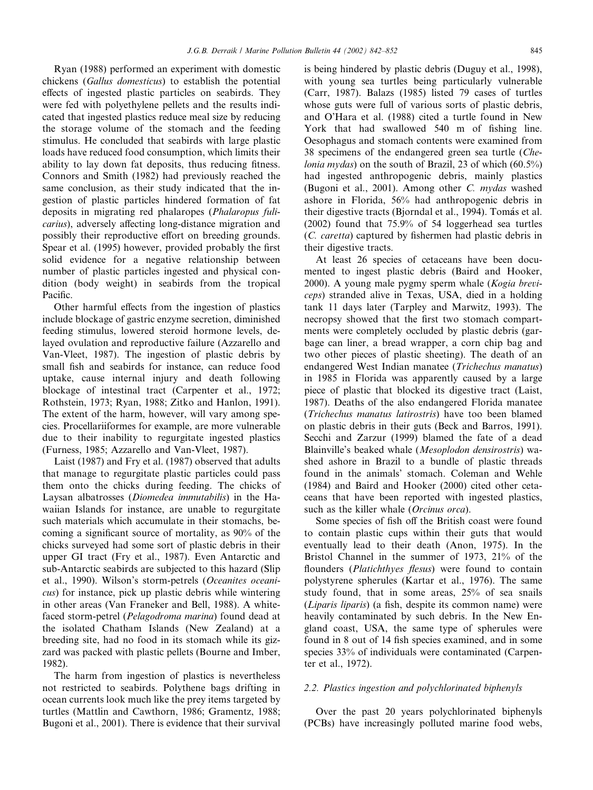Ryan (1988) performed an experiment with domestic chickens (Gallus domesticus) to establish the potential effects of ingested plastic particles on seabirds. They were fed with polyethylene pellets and the results indicated that ingested plastics reduce meal size by reducing the storage volume of the stomach and the feeding stimulus. He concluded that seabirds with large plastic loads have reduced food consumption, which limits their ability to lay down fat deposits, thus reducing fitness. Connors and Smith (1982) had previously reached the same conclusion, as their study indicated that the ingestion of plastic particles hindered formation of fat deposits in migrating red phalaropes (Phalaropus fulicarius), adversely affecting long-distance migration and possibly their reproductive effort on breeding grounds. Spear et al. (1995) however, provided probably the first solid evidence for a negative relationship between number of plastic particles ingested and physical condition (body weight) in seabirds from the tropical Pacific.

Other harmful effects from the ingestion of plastics include blockage of gastric enzyme secretion, diminished feeding stimulus, lowered steroid hormone levels, delayed ovulation and reproductive failure (Azzarello and Van-Vleet, 1987). The ingestion of plastic debris by small fish and seabirds for instance, can reduce food uptake, cause internal injury and death following blockage of intestinal tract (Carpenter et al., 1972; Rothstein, 1973; Ryan, 1988; Zitko and Hanlon, 1991). The extent of the harm, however, will vary among species. Procellariiformes for example, are more vulnerable due to their inability to regurgitate ingested plastics (Furness, 1985; Azzarello and Van-Vleet, 1987).

Laist (1987) and Fry et al. (1987) observed that adults that manage to regurgitate plastic particles could pass them onto the chicks during feeding. The chicks of Laysan albatrosses (Diomedea immutabilis) in the Hawaiian Islands for instance, are unable to regurgitate such materials which accumulate in their stomachs, becoming a significant source of mortality, as 90% of the chicks surveyed had some sort of plastic debris in their upper GI tract (Fry et al., 1987). Even Antarctic and sub-Antarctic seabirds are subjected to this hazard (Slip et al., 1990). Wilson's storm-petrels (Oceanites oceanicus) for instance, pick up plastic debris while wintering in other areas (Van Franeker and Bell, 1988). A whitefaced storm-petrel (Pelagodroma marina) found dead at the isolated Chatham Islands (New Zealand) at a breeding site, had no food in its stomach while its gizzard was packed with plastic pellets (Bourne and Imber, 1982).

The harm from ingestion of plastics is nevertheless not restricted to seabirds. Polythene bags drifting in ocean currents look much like the prey items targeted by turtles (Mattlin and Cawthorn, 1986; Gramentz, 1988; Bugoni et al., 2001). There is evidence that their survival

is being hindered by plastic debris (Duguy et al., 1998), with young sea turtles being particularly vulnerable (Carr, 1987). Balazs (1985) listed 79 cases of turtles whose guts were full of various sorts of plastic debris, and O'Hara et al. (1988) cited a turtle found in New York that had swallowed 540 m of fishing line. Oesophagus and stomach contents were examined from 38 specimens of the endangered green sea turtle (Che*lonia mydas*) on the south of Brazil, 23 of which  $(60.5\%)$ had ingested anthropogenic debris, mainly plastics (Bugoni et al., 2001). Among other C. mydas washed ashore in Florida, 56% had anthropogenic debris in their digestive tracts (Bjorndal et al., 1994). Tomás et al. (2002) found that 75.9% of 54 loggerhead sea turtles (C. caretta) captured by fishermen had plastic debris in their digestive tracts.

At least 26 species of cetaceans have been documented to ingest plastic debris (Baird and Hooker, 2000). A young male pygmy sperm whale (Kogia breviceps) stranded alive in Texas, USA, died in a holding tank 11 days later (Tarpley and Marwitz, 1993). The necropsy showed that the first two stomach compartments were completely occluded by plastic debris (garbage can liner, a bread wrapper, a corn chip bag and two other pieces of plastic sheeting). The death of an endangered West Indian manatee (Trichechus manatus) in 1985 in Florida was apparently caused by a large piece of plastic that blocked its digestive tract (Laist, 1987). Deaths of the also endangered Florida manatee (Trichechus manatus latirostris) have too been blamed on plastic debris in their guts (Beck and Barros, 1991). Secchi and Zarzur (1999) blamed the fate of a dead Blainville's beaked whale (Mesoplodon densirostris) washed ashore in Brazil to a bundle of plastic threads found in the animals' stomach. Coleman and Wehle (1984) and Baird and Hooker (2000) cited other cetaceans that have been reported with ingested plastics, such as the killer whale (Orcinus orca).

Some species of fish off the British coast were found to contain plastic cups within their guts that would eventually lead to their death (Anon, 1975). In the Bristol Channel in the summer of 1973, 21% of the flounders (*Platichthyes flesus*) were found to contain polystyrene spherules (Kartar et al., 1976). The same study found, that in some areas, 25% of sea snails (Liparis liparis) (a fish, despite its common name) were heavily contaminated by such debris. In the New England coast, USA, the same type of spherules were found in 8 out of 14 fish species examined, and in some species 33% of individuals were contaminated (Carpenter et al., 1972).

# 2.2. Plastics ingestion and polychlorinated biphenyls

Over the past 20 years polychlorinated biphenyls (PCBs) have increasingly polluted marine food webs,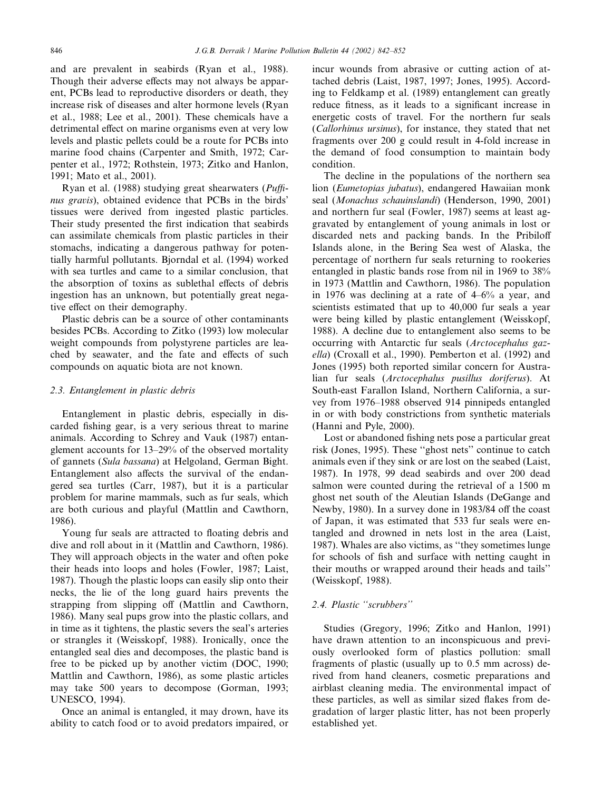and are prevalent in seabirds (Ryan et al., 1988). Though their adverse effects may not always be apparent, PCBs lead to reproductive disorders or death, they increase risk of diseases and alter hormone levels (Ryan et al., 1988; Lee et al., 2001). These chemicals have a detrimental effect on marine organisms even at very low levels and plastic pellets could be a route for PCBs into marine food chains (Carpenter and Smith, 1972; Carpenter et al., 1972; Rothstein, 1973; Zitko and Hanlon, 1991; Mato et al., 2001).

Ryan et al. (1988) studying great shearwaters (Puffinus gravis), obtained evidence that PCBs in the birds' tissues were derived from ingested plastic particles. Their study presented the first indication that seabirds can assimilate chemicals from plastic particles in their stomachs, indicating a dangerous pathway for potentially harmful pollutants. Bjorndal et al. (1994) worked with sea turtles and came to a similar conclusion, that the absorption of toxins as sublethal effects of debris ingestion has an unknown, but potentially great negative effect on their demography.

Plastic debris can be a source of other contaminants besides PCBs. According to Zitko (1993) low molecular weight compounds from polystyrene particles are leached by seawater, and the fate and effects of such compounds on aquatic biota are not known.

# 2.3. Entanglement in plastic debris

Entanglement in plastic debris, especially in discarded fishing gear, is a very serious threat to marine animals. According to Schrey and Vauk (1987) entanglement accounts for 13–29% of the observed mortality of gannets (Sula bassana) at Helgoland, German Bight. Entanglement also affects the survival of the endangered sea turtles (Carr, 1987), but it is a particular problem for marine mammals, such as fur seals, which are both curious and playful (Mattlin and Cawthorn, 1986).

Young fur seals are attracted to floating debris and dive and roll about in it (Mattlin and Cawthorn, 1986). They will approach objects in the water and often poke their heads into loops and holes (Fowler, 1987; Laist, 1987). Though the plastic loops can easily slip onto their necks, the lie of the long guard hairs prevents the strapping from slipping off (Mattlin and Cawthorn, 1986). Many seal pups grow into the plastic collars, and in time as it tightens, the plastic severs the seal's arteries or strangles it (Weisskopf, 1988). Ironically, once the entangled seal dies and decomposes, the plastic band is free to be picked up by another victim (DOC, 1990; Mattlin and Cawthorn, 1986), as some plastic articles may take 500 years to decompose (Gorman, 1993; UNESCO, 1994).

Once an animal is entangled, it may drown, have its ability to catch food or to avoid predators impaired, or incur wounds from abrasive or cutting action of attached debris (Laist, 1987, 1997; Jones, 1995). According to Feldkamp et al. (1989) entanglement can greatly reduce fitness, as it leads to a significant increase in energetic costs of travel. For the northern fur seals (Callorhinus ursinus), for instance, they stated that net fragments over 200 g could result in 4-fold increase in the demand of food consumption to maintain body condition.

The decline in the populations of the northern sea lion (Eumetopias jubatus), endangered Hawaiian monk seal (Monachus schauinslandi) (Henderson, 1990, 2001) and northern fur seal (Fowler, 1987) seems at least aggravated by entanglement of young animals in lost or discarded nets and packing bands. In the Pribiloff Islands alone, in the Bering Sea west of Alaska, the percentage of northern fur seals returning to rookeries entangled in plastic bands rose from nil in 1969 to 38% in 1973 (Mattlin and Cawthorn, 1986). The population in 1976 was declining at a rate of 4–6% a year, and scientists estimated that up to 40,000 fur seals a year were being killed by plastic entanglement (Weisskopf, 1988). A decline due to entanglement also seems to be occurring with Antarctic fur seals (Arctocephalus gazella) (Croxall et al., 1990). Pemberton et al. (1992) and Jones (1995) both reported similar concern for Australian fur seals (Arctocephalus pusillus doriferus). At South-east Farallon Island, Northern California, a survey from 1976–1988 observed 914 pinnipeds entangled in or with body constrictions from synthetic materials (Hanni and Pyle, 2000).

Lost or abandoned fishing nets pose a particular great risk (Jones, 1995). These ''ghost nets'' continue to catch animals even if they sink or are lost on the seabed (Laist, 1987). In 1978, 99 dead seabirds and over 200 dead salmon were counted during the retrieval of a 1500 m ghost net south of the Aleutian Islands (DeGange and Newby, 1980). In a survey done in 1983/84 off the coast of Japan, it was estimated that 533 fur seals were entangled and drowned in nets lost in the area (Laist, 1987). Whales are also victims, as ''they sometimes lunge for schools of fish and surface with netting caught in their mouths or wrapped around their heads and tails'' (Weisskopf, 1988).

# 2.4. Plastic ''scrubbers''

Studies (Gregory, 1996; Zitko and Hanlon, 1991) have drawn attention to an inconspicuous and previously overlooked form of plastics pollution: small fragments of plastic (usually up to 0.5 mm across) derived from hand cleaners, cosmetic preparations and airblast cleaning media. The environmental impact of these particles, as well as similar sized flakes from degradation of larger plastic litter, has not been properly established yet.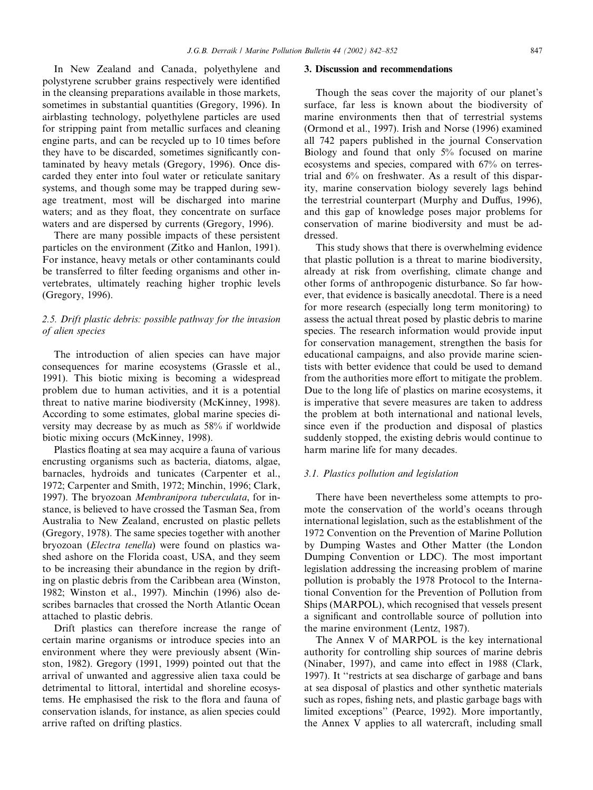In New Zealand and Canada, polyethylene and polystyrene scrubber grains respectively were identified in the cleansing preparations available in those markets, sometimes in substantial quantities (Gregory, 1996). In airblasting technology, polyethylene particles are used for stripping paint from metallic surfaces and cleaning engine parts, and can be recycled up to 10 times before they have to be discarded, sometimes significantly contaminated by heavy metals (Gregory, 1996). Once discarded they enter into foul water or reticulate sanitary systems, and though some may be trapped during sewage treatment, most will be discharged into marine waters; and as they float, they concentrate on surface waters and are dispersed by currents (Gregory, 1996).

There are many possible impacts of these persistent particles on the environment (Zitko and Hanlon, 1991). For instance, heavy metals or other contaminants could be transferred to filter feeding organisms and other invertebrates, ultimately reaching higher trophic levels (Gregory, 1996).

# 2.5. Drift plastic debris: possible pathway for the invasion of alien species

The introduction of alien species can have major consequences for marine ecosystems (Grassle et al., 1991). This biotic mixing is becoming a widespread problem due to human activities, and it is a potential threat to native marine biodiversity (McKinney, 1998). According to some estimates, global marine species diversity may decrease by as much as 58% if worldwide biotic mixing occurs (McKinney, 1998).

Plastics floating at sea may acquire a fauna of various encrusting organisms such as bacteria, diatoms, algae, barnacles, hydroids and tunicates (Carpenter et al., 1972; Carpenter and Smith, 1972; Minchin, 1996; Clark, 1997). The bryozoan Membranipora tuberculata, for instance, is believed to have crossed the Tasman Sea, from Australia to New Zealand, encrusted on plastic pellets (Gregory, 1978). The same species together with another bryozoan (Electra tenella) were found on plastics washed ashore on the Florida coast, USA, and they seem to be increasing their abundance in the region by drifting on plastic debris from the Caribbean area (Winston, 1982; Winston et al., 1997). Minchin (1996) also describes barnacles that crossed the North Atlantic Ocean attached to plastic debris.

Drift plastics can therefore increase the range of certain marine organisms or introduce species into an environment where they were previously absent (Winston, 1982). Gregory (1991, 1999) pointed out that the arrival of unwanted and aggressive alien taxa could be detrimental to littoral, intertidal and shoreline ecosystems. He emphasised the risk to the flora and fauna of conservation islands, for instance, as alien species could arrive rafted on drifting plastics.

#### 3. Discussion and recommendations

Though the seas cover the majority of our planet's surface, far less is known about the biodiversity of marine environments then that of terrestrial systems (Ormond et al., 1997). Irish and Norse (1996) examined all 742 papers published in the journal Conservation Biology and found that only 5% focused on marine ecosystems and species, compared with 67% on terrestrial and 6% on freshwater. As a result of this disparity, marine conservation biology severely lags behind the terrestrial counterpart (Murphy and Duffus, 1996), and this gap of knowledge poses major problems for conservation of marine biodiversity and must be addressed.

This study shows that there is overwhelming evidence that plastic pollution is a threat to marine biodiversity, already at risk from overfishing, climate change and other forms of anthropogenic disturbance. So far however, that evidence is basically anecdotal. There is a need for more research (especially long term monitoring) to assess the actual threat posed by plastic debris to marine species. The research information would provide input for conservation management, strengthen the basis for educational campaigns, and also provide marine scientists with better evidence that could be used to demand from the authorities more effort to mitigate the problem. Due to the long life of plastics on marine ecosystems, it is imperative that severe measures are taken to address the problem at both international and national levels, since even if the production and disposal of plastics suddenly stopped, the existing debris would continue to harm marine life for many decades.

#### 3.1. Plastics pollution and legislation

There have been nevertheless some attempts to promote the conservation of the world's oceans through international legislation, such as the establishment of the 1972 Convention on the Prevention of Marine Pollution by Dumping Wastes and Other Matter (the London Dumping Convention or LDC). The most important legislation addressing the increasing problem of marine pollution is probably the 1978 Protocol to the International Convention for the Prevention of Pollution from Ships (MARPOL), which recognised that vessels present a significant and controllable source of pollution into the marine environment (Lentz, 1987).

The Annex V of MARPOL is the key international authority for controlling ship sources of marine debris (Ninaber, 1997), and came into effect in 1988 (Clark, 1997). It ''restricts at sea discharge of garbage and bans at sea disposal of plastics and other synthetic materials such as ropes, fishing nets, and plastic garbage bags with limited exceptions'' (Pearce, 1992). More importantly, the Annex V applies to all watercraft, including small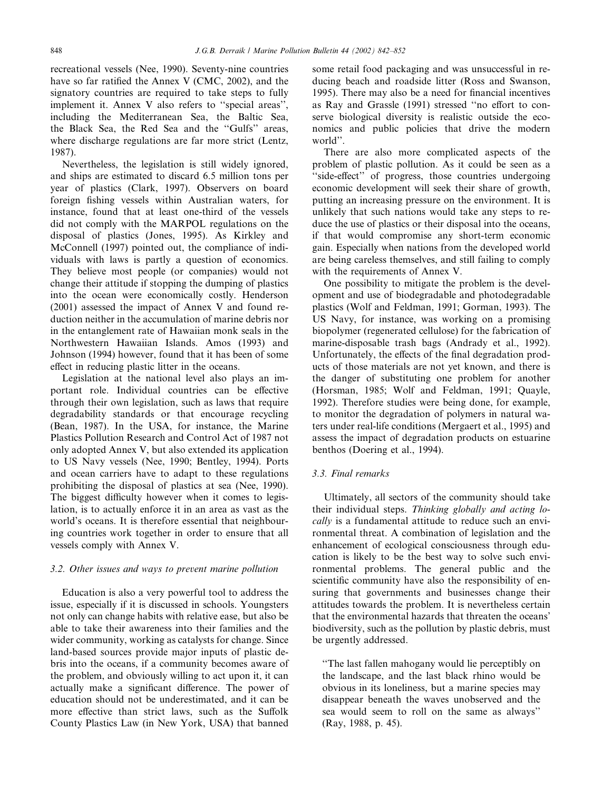recreational vessels (Nee, 1990). Seventy-nine countries have so far ratified the Annex V (CMC, 2002), and the signatory countries are required to take steps to fully implement it. Annex V also refers to ''special areas'', including the Mediterranean Sea, the Baltic Sea, the Black Sea, the Red Sea and the ''Gulfs'' areas, where discharge regulations are far more strict (Lentz, 1987).

Nevertheless, the legislation is still widely ignored, and ships are estimated to discard 6.5 million tons per year of plastics (Clark, 1997). Observers on board foreign fishing vessels within Australian waters, for instance, found that at least one-third of the vessels did not comply with the MARPOL regulations on the disposal of plastics (Jones, 1995). As Kirkley and McConnell (1997) pointed out, the compliance of individuals with laws is partly a question of economics. They believe most people (or companies) would not change their attitude if stopping the dumping of plastics into the ocean were economically costly. Henderson (2001) assessed the impact of Annex V and found reduction neither in the accumulation of marine debris nor in the entanglement rate of Hawaiian monk seals in the Northwestern Hawaiian Islands. Amos (1993) and Johnson (1994) however, found that it has been of some effect in reducing plastic litter in the oceans.

Legislation at the national level also plays an important role. Individual countries can be effective through their own legislation, such as laws that require degradability standards or that encourage recycling (Bean, 1987). In the USA, for instance, the Marine Plastics Pollution Research and Control Act of 1987 not only adopted Annex V, but also extended its application to US Navy vessels (Nee, 1990; Bentley, 1994). Ports and ocean carriers have to adapt to these regulations prohibiting the disposal of plastics at sea (Nee, 1990). The biggest difficulty however when it comes to legislation, is to actually enforce it in an area as vast as the world's oceans. It is therefore essential that neighbouring countries work together in order to ensure that all vessels comply with Annex V.

## 3.2. Other issues and ways to prevent marine pollution

Education is also a very powerful tool to address the issue, especially if it is discussed in schools. Youngsters not only can change habits with relative ease, but also be able to take their awareness into their families and the wider community, working as catalysts for change. Since land-based sources provide major inputs of plastic debris into the oceans, if a community becomes aware of the problem, and obviously willing to act upon it, it can actually make a significant difference. The power of education should not be underestimated, and it can be more effective than strict laws, such as the Suffolk County Plastics Law (in New York, USA) that banned

some retail food packaging and was unsuccessful in reducing beach and roadside litter (Ross and Swanson, 1995). There may also be a need for financial incentives as Ray and Grassle (1991) stressed ''no effort to conserve biological diversity is realistic outside the economics and public policies that drive the modern world''.

There are also more complicated aspects of the problem of plastic pollution. As it could be seen as a "side-effect" of progress, those countries undergoing economic development will seek their share of growth, putting an increasing pressure on the environment. It is unlikely that such nations would take any steps to reduce the use of plastics or their disposal into the oceans, if that would compromise any short-term economic gain. Especially when nations from the developed world are being careless themselves, and still failing to comply with the requirements of Annex V.

One possibility to mitigate the problem is the development and use of biodegradable and photodegradable plastics (Wolf and Feldman, 1991; Gorman, 1993). The US Navy, for instance, was working on a promising biopolymer (regenerated cellulose) for the fabrication of marine-disposable trash bags (Andrady et al., 1992). Unfortunately, the effects of the final degradation products of those materials are not yet known, and there is the danger of substituting one problem for another (Horsman, 1985; Wolf and Feldman, 1991; Quayle, 1992). Therefore studies were being done, for example, to monitor the degradation of polymers in natural waters under real-life conditions (Mergaert et al., 1995) and assess the impact of degradation products on estuarine benthos (Doering et al., 1994).

## 3.3. Final remarks

Ultimately, all sectors of the community should take their individual steps. Thinking globally and acting locally is a fundamental attitude to reduce such an environmental threat. A combination of legislation and the enhancement of ecological consciousness through education is likely to be the best way to solve such environmental problems. The general public and the scientific community have also the responsibility of ensuring that governments and businesses change their attitudes towards the problem. It is nevertheless certain that the environmental hazards that threaten the oceans' biodiversity, such as the pollution by plastic debris, must be urgently addressed.

''The last fallen mahogany would lie perceptibly on the landscape, and the last black rhino would be obvious in its loneliness, but a marine species may disappear beneath the waves unobserved and the sea would seem to roll on the same as always'' (Ray, 1988, p. 45).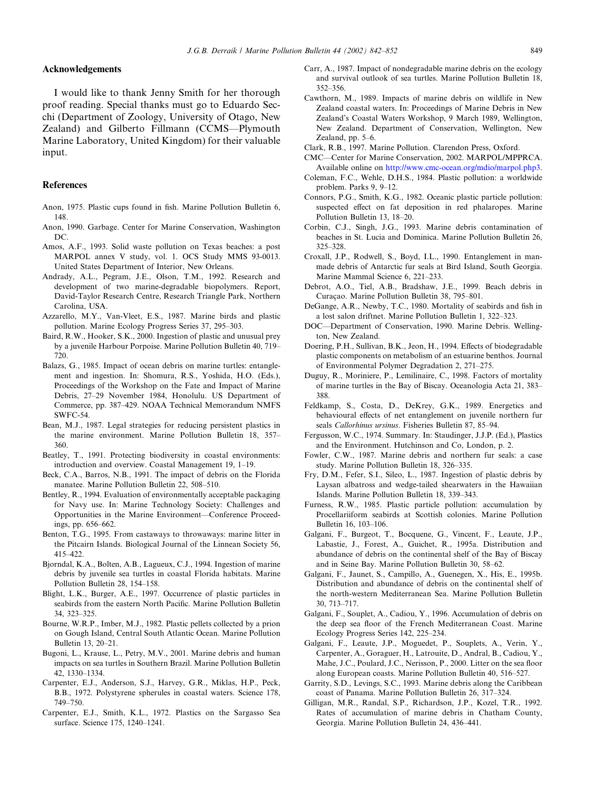# Acknowledgements

I would like to thank Jenny Smith for her thorough proof reading. Special thanks must go to Eduardo Secchi (Department of Zoology, University of Otago, New Zealand) and Gilberto Fillmann (CCMS––Plymouth Marine Laboratory, United Kingdom) for their valuable input.

# References

- Anon, 1975. Plastic cups found in fish. Marine Pollution Bulletin 6, 148.
- Anon, 1990. Garbage. Center for Marine Conservation, Washington DC.
- Amos, A.F., 1993. Solid waste pollution on Texas beaches: a post MARPOL annex V study, vol. 1. OCS Study MMS 93-0013. United States Department of Interior, New Orleans.
- Andrady, A.L., Pegram, J.E., Olson, T.M., 1992. Research and development of two marine-degradable biopolymers. Report, David-Taylor Research Centre, Research Triangle Park, Northern Carolina, USA.
- Azzarello, M.Y., Van-Vleet, E.S., 1987. Marine birds and plastic pollution. Marine Ecology Progress Series 37, 295–303.
- Baird, R.W., Hooker, S.K., 2000. Ingestion of plastic and unusual prey by a juvenile Harbour Porpoise. Marine Pollution Bulletin 40, 719– 720.
- Balazs, G., 1985. Impact of ocean debris on marine turtles: entanglement and ingestion. In: Shomura, R.S., Yoshida, H.O. (Eds.), Proceedings of the Workshop on the Fate and Impact of Marine Debris, 27–29 November 1984, Honolulu. US Department of Commerce, pp. 387–429. NOAA Technical Memorandum NMFS SWFC-54.
- Bean, M.J., 1987. Legal strategies for reducing persistent plastics in the marine environment. Marine Pollution Bulletin 18, 357– 360.
- Beatley, T., 1991. Protecting biodiversity in coastal environments: introduction and overview. Coastal Management 19, 1–19.
- Beck, C.A., Barros, N.B., 1991. The impact of debris on the Florida manatee. Marine Pollution Bulletin 22, 508–510.
- Bentley, R., 1994. Evaluation of environmentally acceptable packaging for Navy use. In: Marine Technology Society: Challenges and Opportunities in the Marine Environment––Conference Proceedings, pp. 656–662.
- Benton, T.G., 1995. From castaways to throwaways: marine litter in the Pitcairn Islands. Biological Journal of the Linnean Society 56,  $415 - 422$
- Bjorndal, K.A., Bolten, A.B., Lagueux, C.J., 1994. Ingestion of marine debris by juvenile sea turtles in coastal Florida habitats. Marine Pollution Bulletin 28, 154–158.
- Blight, L.K., Burger, A.E., 1997. Occurrence of plastic particles in seabirds from the eastern North Pacific. Marine Pollution Bulletin 34, 323–325.
- Bourne, W.R.P., Imber, M.J., 1982. Plastic pellets collected by a prion on Gough Island, Central South Atlantic Ocean. Marine Pollution Bulletin 13, 20–21.
- Bugoni, L., Krause, L., Petry, M.V., 2001. Marine debris and human impacts on sea turtles in Southern Brazil. Marine Pollution Bulletin 42, 1330–1334.
- Carpenter, E.J., Anderson, S.J., Harvey, G.R., Miklas, H.P., Peck, B.B., 1972. Polystyrene spherules in coastal waters. Science 178, 749–750.
- Carpenter, E.J., Smith, K.L., 1972. Plastics on the Sargasso Sea surface. Science 175, 1240–1241.
- Carr, A., 1987. Impact of nondegradable marine debris on the ecology and survival outlook of sea turtles. Marine Pollution Bulletin 18, 352–356.
- Cawthorn, M., 1989. Impacts of marine debris on wildlife in New Zealand coastal waters. In: Proceedings of Marine Debris in New Zealand's Coastal Waters Workshop, 9 March 1989, Wellington, New Zealand. Department of Conservation, Wellington, New Zealand, pp. 5–6.
- Clark, R.B., 1997. Marine Pollution. Clarendon Press, Oxford.
- CMC––Center for Marine Conservation, 2002. MARPOL/MPPRCA. Available online on <http://www.cmc-ocean.org/mdio/marpol.php3>.
- Coleman, F.C., Wehle, D.H.S., 1984. Plastic pollution: a worldwide problem. Parks 9, 9–12.
- Connors, P.G., Smith, K.G., 1982. Oceanic plastic particle pollution: suspected effect on fat deposition in red phalaropes. Marine Pollution Bulletin 13, 18–20.
- Corbin, C.J., Singh, J.G., 1993. Marine debris contamination of beaches in St. Lucia and Dominica. Marine Pollution Bulletin 26, 325–328.
- Croxall, J.P., Rodwell, S., Boyd, I.L., 1990. Entanglement in manmade debris of Antarctic fur seals at Bird Island, South Georgia. Marine Mammal Science 6, 221–233.
- Debrot, A.O., Tiel, A.B., Bradshaw, J.E., 1999. Beach debris in Curaçao. Marine Pollution Bulletin 38, 795–801.
- DeGange, A.R., Newby, T.C., 1980. Mortality of seabirds and fish in a lost salon driftnet. Marine Pollution Bulletin 1, 322–323.
- DOC––Department of Conservation, 1990. Marine Debris. Wellington, New Zealand.
- Doering, P.H., Sullivan, B.K., Jeon, H., 1994. Effects of biodegradable plastic components on metabolism of an estuarine benthos. Journal of Environmental Polymer Degradation 2, 271–275.
- Duguy, R., Moriniere, P., Lemilinaire, C., 1998. Factors of mortality of marine turtles in the Bay of Biscay. Oceanologia Acta 21, 383– 388.
- Feldkamp, S., Costa, D., DeKrey, G.K., 1989. Energetics and behavioural effects of net entanglement on juvenile northern fur seals Callorhinus ursinus. Fisheries Bulletin 87, 85–94.
- Fergusson, W.C., 1974. Summary. In: Staudinger, J.J.P. (Ed.), Plastics and the Environment. Hutchinson and Co, London, p. 2.
- Fowler, C.W., 1987. Marine debris and northern fur seals: a case study. Marine Pollution Bulletin 18, 326–335.
- Fry, D.M., Fefer, S.I., Sileo, L., 1987. Ingestion of plastic debris by Laysan albatross and wedge-tailed shearwaters in the Hawaiian Islands. Marine Pollution Bulletin 18, 339–343.
- Furness, R.W., 1985. Plastic particle pollution: accumulation by Procellariiform seabirds at Scottish colonies. Marine Pollution Bulletin 16, 103–106.
- Galgani, F., Burgeot, T., Bocquene, G., Vincent, F., Leaute, J.P., Labastie, J., Forest, A., Guichet, R., 1995a. Distribution and abundance of debris on the continental shelf of the Bay of Biscay and in Seine Bay. Marine Pollution Bulletin 30, 58–62.
- Galgani, F., Jaunet, S., Campillo, A., Guenegen, X., His, E., 1995b. Distribution and abundance of debris on the continental shelf of the north-western Mediterranean Sea. Marine Pollution Bulletin 30, 713–717.
- Galgani, F., Souplet, A., Cadiou, Y., 1996. Accumulation of debris on the deep sea floor of the French Mediterranean Coast. Marine Ecology Progress Series 142, 225–234.
- Galgani, F., Leaute, J.P., Moguedet, P., Souplets, A., Verin, Y., Carpenter, A., Goraguer, H., Latrouite, D., Andral, B., Cadiou, Y., Mahe, J.C., Poulard, J.C., Nerisson, P., 2000. Litter on the sea floor along European coasts. Marine Pollution Bulletin 40, 516–527.
- Garrity, S.D., Levings, S.C., 1993. Marine debris along the Caribbean coast of Panama. Marine Pollution Bulletin 26, 317–324.
- Gilligan, M.R., Randal, S.P., Richardson, J.P., Kozel, T.R., 1992. Rates of accumulation of marine debris in Chatham County, Georgia. Marine Pollution Bulletin 24, 436–441.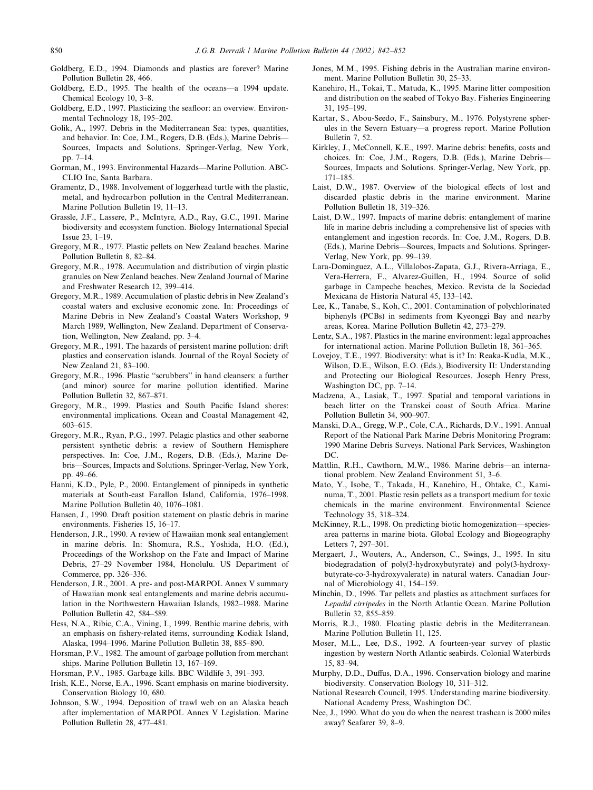- Goldberg, E.D., 1994. Diamonds and plastics are forever? Marine Pollution Bulletin 28, 466.
- Goldberg, E.D., 1995. The health of the oceans––a 1994 update. Chemical Ecology 10, 3–8.
- Goldberg, E.D., 1997. Plasticizing the seafloor: an overview. Environmental Technology 18, 195–202.
- Golik, A., 1997. Debris in the Mediterranean Sea: types, quantities, and behavior. In: Coe, J.M., Rogers, D.B. (Eds.), Marine Debris–– Sources, Impacts and Solutions. Springer-Verlag, New York, pp. 7–14.
- Gorman, M., 1993. Environmental Hazards––Marine Pollution. ABC-CLIO Inc, Santa Barbara.
- Gramentz, D., 1988. Involvement of loggerhead turtle with the plastic, metal, and hydrocarbon pollution in the Central Mediterranean. Marine Pollution Bulletin 19, 11–13.
- Grassle, J.F., Lassere, P., McIntyre, A.D., Ray, G.C., 1991. Marine biodiversity and ecosystem function. Biology International Special Issue 23, 1–19.
- Gregory, M.R., 1977. Plastic pellets on New Zealand beaches. Marine Pollution Bulletin 8, 82–84.
- Gregory, M.R., 1978. Accumulation and distribution of virgin plastic granules on New Zealand beaches. New Zealand Journal of Marine and Freshwater Research 12, 399–414.
- Gregory, M.R., 1989. Accumulation of plastic debris in New Zealand's coastal waters and exclusive economic zone. In: Proceedings of Marine Debris in New Zealand's Coastal Waters Workshop, 9 March 1989, Wellington, New Zealand. Department of Conservation, Wellington, New Zealand, pp. 3–4.
- Gregory, M.R., 1991. The hazards of persistent marine pollution: drift plastics and conservation islands. Journal of the Royal Society of New Zealand 21, 83–100.
- Gregory, M.R., 1996. Plastic ''scrubbers'' in hand cleansers: a further (and minor) source for marine pollution identified. Marine Pollution Bulletin 32, 867–871.
- Gregory, M.R., 1999. Plastics and South Pacific Island shores: environmental implications. Ocean and Coastal Management 42, 603–615.
- Gregory, M.R., Ryan, P.G., 1997. Pelagic plastics and other seaborne persistent synthetic debris: a review of Southern Hemisphere perspectives. In: Coe, J.M., Rogers, D.B. (Eds.), Marine Debris––Sources, Impacts and Solutions. Springer-Verlag, New York, pp. 49–66.
- Hanni, K.D., Pyle, P., 2000. Entanglement of pinnipeds in synthetic materials at South-east Farallon Island, California, 1976–1998. Marine Pollution Bulletin 40, 1076–1081.
- Hansen, J., 1990. Draft position statement on plastic debris in marine environments. Fisheries 15, 16–17.
- Henderson, J.R., 1990. A review of Hawaiian monk seal entanglement in marine debris. In: Shomura, R.S., Yoshida, H.O. (Ed.), Proceedings of the Workshop on the Fate and Impact of Marine Debris, 27–29 November 1984, Honolulu. US Department of Commerce, pp. 326–336.
- Henderson, J.R., 2001. A pre- and post-MARPOL Annex V summary of Hawaiian monk seal entanglements and marine debris accumulation in the Northwestern Hawaiian Islands, 1982–1988. Marine Pollution Bulletin 42, 584–589.
- Hess, N.A., Ribic, C.A., Vining, I., 1999. Benthic marine debris, with an emphasis on fishery-related items, surrounding Kodiak Island, Alaska, 1994–1996. Marine Pollution Bulletin 38, 885–890.
- Horsman, P.V., 1982. The amount of garbage pollution from merchant ships. Marine Pollution Bulletin 13, 167–169.
- Horsman, P.V., 1985. Garbage kills. BBC Wildlife 3, 391–393.
- Irish, K.E., Norse, E.A., 1996. Scant emphasis on marine biodiversity. Conservation Biology 10, 680.
- Johnson, S.W., 1994. Deposition of trawl web on an Alaska beach after implementation of MARPOL Annex V Legislation. Marine Pollution Bulletin 28, 477–481.
- Jones, M.M., 1995. Fishing debris in the Australian marine environment. Marine Pollution Bulletin 30, 25–33.
- Kanehiro, H., Tokai, T., Matuda, K., 1995. Marine litter composition and distribution on the seabed of Tokyo Bay. Fisheries Engineering 31, 195–199.
- Kartar, S., Abou-Seedo, F., Sainsbury, M., 1976. Polystyrene spherules in the Severn Estuary––a progress report. Marine Pollution Bulletin 7, 52.
- Kirkley, J., McConnell, K.E., 1997. Marine debris: benefits, costs and choices. In: Coe, J.M., Rogers, D.B. (Eds.), Marine Debris–– Sources, Impacts and Solutions. Springer-Verlag, New York, pp. 171–185.
- Laist, D.W., 1987. Overview of the biological effects of lost and discarded plastic debris in the marine environment. Marine Pollution Bulletin 18, 319–326.
- Laist, D.W., 1997. Impacts of marine debris: entanglement of marine life in marine debris including a comprehensive list of species with entanglement and ingestion records. In: Coe, J.M., Rogers, D.B. (Eds.), Marine Debris––Sources, Impacts and Solutions. Springer-Verlag, New York, pp. 99–139.
- Lara-Dominguez, A.L., Villalobos-Zapata, G.J., Rivera-Arriaga, E., Vera-Herrera, F., Alvarez-Guillen, H., 1994. Source of solid garbage in Campeche beaches, Mexico. Revista de la Sociedad Mexicana de Historia Natural 45, 133–142.
- Lee, K., Tanabe, S., Koh, C., 2001. Contamination of polychlorinated biphenyls (PCBs) in sediments from Kyeonggi Bay and nearby areas, Korea. Marine Pollution Bulletin 42, 273–279.
- Lentz, S.A., 1987. Plastics in the marine environment: legal approaches for international action. Marine Pollution Bulletin 18, 361–365.
- Lovejoy, T.E., 1997. Biodiversity: what is it? In: Reaka-Kudla, M.K., Wilson, D.E., Wilson, E.O. (Eds.), Biodiversity II: Understanding and Protecting our Biological Resources. Joseph Henry Press, Washington DC, pp. 7–14.
- Madzena, A., Lasiak, T., 1997. Spatial and temporal variations in beach litter on the Transkei coast of South Africa. Marine Pollution Bulletin 34, 900–907.
- Manski, D.A., Gregg, W.P., Cole, C.A., Richards, D.V., 1991. Annual Report of the National Park Marine Debris Monitoring Program: 1990 Marine Debris Surveys. National Park Services, Washington DC.
- Mattlin, R.H., Cawthorn, M.W., 1986. Marine debris––an international problem. New Zealand Environment 51, 3–6.
- Mato, Y., Isobe, T., Takada, H., Kanehiro, H., Ohtake, C., Kaminuma, T., 2001. Plastic resin pellets as a transport medium for toxic chemicals in the marine environment. Environmental Science Technology 35, 318–324.
- McKinney, R.L., 1998. On predicting biotic homogenization––speciesarea patterns in marine biota. Global Ecology and Biogeography Letters 7, 297–301.
- Mergaert, J., Wouters, A., Anderson, C., Swings, J., 1995. In situ biodegradation of poly(3-hydroxybutyrate) and poly(3-hydroxybutyrate-co-3-hydroxyvalerate) in natural waters. Canadian Journal of Microbiology 41, 154–159.
- Minchin, D., 1996. Tar pellets and plastics as attachment surfaces for Lepadid cirripedes in the North Atlantic Ocean. Marine Pollution Bulletin 32, 855–859.
- Morris, R.J., 1980. Floating plastic debris in the Mediterranean. Marine Pollution Bulletin 11, 125.
- Moser, M.L., Lee, D.S., 1992. A fourteen-year survey of plastic ingestion by western North Atlantic seabirds. Colonial Waterbirds 15, 83–94.
- Murphy, D.D., Duffus, D.A., 1996. Conservation biology and marine biodiversity. Conservation Biology 10, 311–312.
- National Research Council, 1995. Understanding marine biodiversity. National Academy Press, Washington DC.
- Nee, J., 1990. What do you do when the nearest trashcan is 2000 miles away? Seafarer 39, 8–9.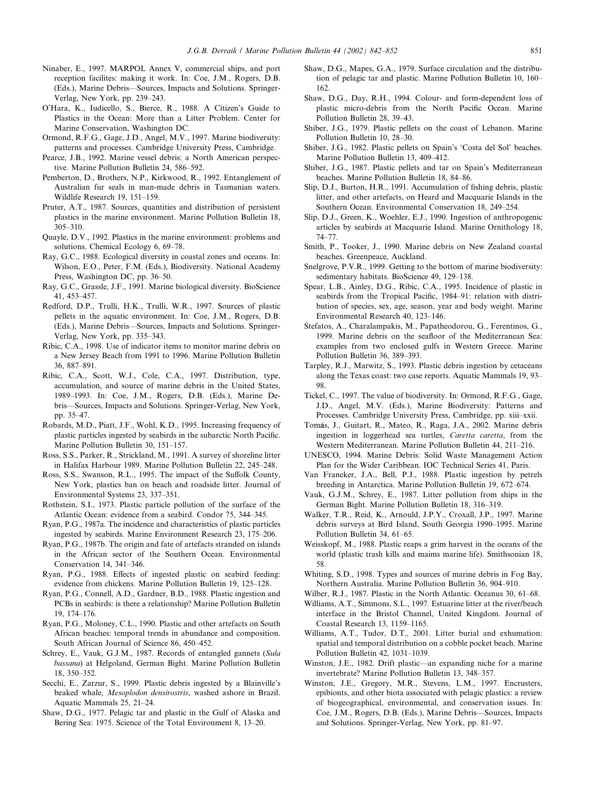- Ninaber, E., 1997. MARPOL Annex V, commercial ships, and port reception facilites: making it work. In: Coe, J.M., Rogers, D.B. (Eds.), Marine Debris––Sources, Impacts and Solutions. Springer-Verlag, New York, pp. 239–243.
- O'Hara, K., Iudicello, S., Bierce, R., 1988. A Citizen's Guide to Plastics in the Ocean: More than a Litter Problem. Center for Marine Conservation, Washington DC.
- Ormond, R.F.G., Gage, J.D., Angel, M.V., 1997. Marine biodiversity: patterns and processes. Cambridge University Press, Cambridge.
- Pearce, J.B., 1992. Marine vessel debris: a North American perspective. Marine Pollution Bulletin 24, 586–592.
- Pemberton, D., Brothers, N.P., Kirkwood, R., 1992. Entanglement of Australian fur seals in man-made debris in Tasmanian waters. Wildlife Research 19, 151–159.
- Pruter, A.T., 1987. Sources, quantities and distribution of persistent plastics in the marine environment. Marine Pollution Bulletin 18, 305–310.
- Quayle, D.V., 1992. Plastics in the marine environment: problems and solutions. Chemical Ecology 6, 69–78.
- Ray, G.C., 1988. Ecological diversity in coastal zones and oceans. In: Wilson, E.O., Peter, F.M. (Eds.), Biodiversity. National Academy Press, Washington DC, pp. 36–50.
- Ray, G.C., Grassle, J.F., 1991. Marine biological diversity. BioScience 41, 453–457.
- Redford, D.P., Trulli, H.K., Trulli, W.R., 1997. Sources of plastic pellets in the aquatic environment. In: Coe, J.M., Rogers, D.B. (Eds.), Marine Debris––Sources, Impacts and Solutions. Springer-Verlag, New York, pp. 335–343.
- Ribic, C.A., 1998. Use of indicator items to monitor marine debris on a New Jersey Beach from 1991 to 1996. Marine Pollution Bulletin 36, 887–891.
- Ribic, C.A., Scott, W.J., Cole, C.A., 1997. Distribution, type, accumulation, and source of marine debris in the United States, 1989–1993. In: Coe, J.M., Rogers, D.B. (Eds.), Marine Debris––Sources, Impacts and Solutions. Springer-Verlag, New York, pp. 35–47.
- Robards, M.D., Piatt, J.F., Wohl, K.D., 1995. Increasing frequency of plastic particles ingested by seabirds in the subarctic North Pacific. Marine Pollution Bulletin 30, 151–157.
- Ross, S.S., Parker, R., Strickland, M., 1991. A survey of shoreline litter in Halifax Harbour 1989. Marine Pollution Bulletin 22, 245–248.
- Ross, S.S., Swanson, R.L., 1995. The impact of the Suffolk County, New York, plastics ban on beach and roadside litter. Journal of Environmental Systems 23, 337–351.
- Rothstein, S.I., 1973. Plastic particle pollution of the surface of the Atlantic Ocean: evidence from a seabird. Condor 75, 344–345.
- Ryan, P.G., 1987a. The incidence and characteristics of plastic particles ingested by seabirds. Marine Environment Research 23, 175–206.
- Ryan, P.G., 1987b. The origin and fate of artefacts stranded on islands in the African sector of the Southern Ocean. Environmental Conservation 14, 341–346.
- Ryan, P.G., 1988. Effects of ingested plastic on seabird feeding: evidence from chickens. Marine Pollution Bulletin 19, 125–128.
- Ryan, P.G., Connell, A.D., Gardner, B.D., 1988. Plastic ingestion and PCBs in seabirds: is there a relationship? Marine Pollution Bulletin 19, 174–176.
- Ryan, P.G., Moloney, C.L., 1990. Plastic and other artefacts on South African beaches: temporal trends in abundance and composition. South African Journal of Science 86, 450–452.
- Schrey, E., Vauk, G.J.M., 1987. Records of entangled gannets (Sula bassana) at Helgoland, German Bight. Marine Pollution Bulletin 18, 350–352.
- Secchi, E., Zarzur, S., 1999. Plastic debris ingested by a Blainville's beaked whale, Mesoplodon densirostris, washed ashore in Brazil. Aquatic Mammals 25, 21–24.
- Shaw, D.G., 1977. Pelagic tar and plastic in the Gulf of Alaska and Bering Sea: 1975. Science of the Total Environment 8, 13–20.
- Shaw, D.G., Mapes, G.A., 1979. Surface circulation and the distribution of pelagic tar and plastic. Marine Pollution Bulletin 10, 160– 162.
- Shaw, D.G., Day, R.H., 1994. Colour- and form-dependent loss of plastic micro-debris from the North Pacific Ocean. Marine Pollution Bulletin 28, 39–43.
- Shiber, J.G., 1979. Plastic pellets on the coast of Lebanon. Marine Pollution Bulletin 10, 28–30.
- Shiber, J.G., 1982. Plastic pellets on Spain's 'Costa del Sol' beaches. Marine Pollution Bulletin 13, 409–412.
- Shiber, J.G., 1987. Plastic pellets and tar on Spain's Mediterranean beaches. Marine Pollution Bulletin 18, 84–86.
- Slip, D.J., Burton, H.R., 1991. Accumulation of fishing debris, plastic litter, and other artefacts, on Heard and Macquarie Islands in the Southern Ocean. Environmental Conservation 18, 249–254.
- Slip, D.J., Green, K., Woehler, E.J., 1990. Ingestion of anthropogenic articles by seabirds at Macquarie Island. Marine Ornithology 18, 74–77.
- Smith, P., Tooker, J., 1990. Marine debris on New Zealand coastal beaches. Greenpeace, Auckland.
- Snelgrove, P.V.R., 1999. Getting to the bottom of marine biodiversity: sedimentary habitats. BioScience 49, 129–138.
- Spear, L.B., Ainley, D.G., Ribic, C.A., 1995. Incidence of plastic in seabirds from the Tropical Pacific, 1984–91: relation with distribution of species, sex, age, season, year and body weight. Marine Environmental Research 40, 123–146.
- Stefatos, A., Charalampakis, M., Papatheodorou, G., Ferentinos, G., 1999. Marine debris on the seafloor of the Mediterranean Sea: examples from two enclosed gulfs in Western Greece. Marine Pollution Bulletin 36, 389–393.
- Tarpley, R.J., Marwitz, S., 1993. Plastic debris ingestion by cetaceans along the Texas coast: two case reports. Aquatic Mammals 19, 93– 98.
- Tickel, C., 1997. The value of biodiversity. In: Ormond, R.F.G., Gage, J.D., Angel, M.V. (Eds.), Marine Biodiversity: Patterns and Processes. Cambridge University Press, Cambridge, pp. xiii–xxii.
- Tomás, J., Guitart, R., Mateo, R., Raga, J.A., 2002. Marine debris ingestion in loggerhead sea turtles, Caretta caretta, from the Western Mediterranean. Marine Pollution Bulletin 44, 211–216.
- UNESCO, 1994. Marine Debris: Solid Waste Management Action Plan for the Wider Caribbean. IOC Technical Series 41, Paris.
- Van Franeker, J.A., Bell, P.J., 1988. Plastic ingestion by petrels breeding in Antarctica. Marine Pollution Bulletin 19, 672–674.
- Vauk, G.J.M., Schrey, E., 1987. Litter pollution from ships in the German Bight. Marine Pollution Bulletin 18, 316–319.
- Walker, T.R., Reid, K., Arnould, J.P.Y., Croxall, J.P., 1997. Marine debris surveys at Bird Island, South Georgia 1990–1995. Marine Pollution Bulletin 34, 61–65.
- Weisskopf, M., 1988. Plastic reaps a grim harvest in the oceans of the world (plastic trash kills and maims marine life). Smithsonian 18, 58.
- Whiting, S.D., 1998. Types and sources of marine debris in Fog Bay, Northern Australia. Marine Pollution Bulletin 36, 904–910.
- Wilber, R.J., 1987. Plastic in the North Atlantic. Oceanus 30, 61–68.
- Williams, A.T., Simmons, S.L., 1997. Estuarine litter at the river/beach interface in the Bristol Channel, United Kingdom. Journal of Coastal Research 13, 1159–1165.
- Williams, A.T., Tudor, D.T., 2001. Litter burial and exhumation: spatial and temporal distribution on a cobble pocket beach. Marine Pollution Bulletin 42, 1031–1039.
- Winston, J.E., 1982. Drift plastic––an expanding niche for a marine invertebrate? Marine Pollution Bulletin 13, 348–357.
- Winston, J.E., Gregory, M.R., Stevens, L.M., 1997. Encrusters, epibionts, and other biota associated with pelagic plastics: a review of biogeographical, environmental, and conservation issues. In: Coe, J.M., Rogers, D.B. (Eds.), Marine Debris––Sources, Impacts and Solutions. Springer-Verlag, New York, pp. 81–97.